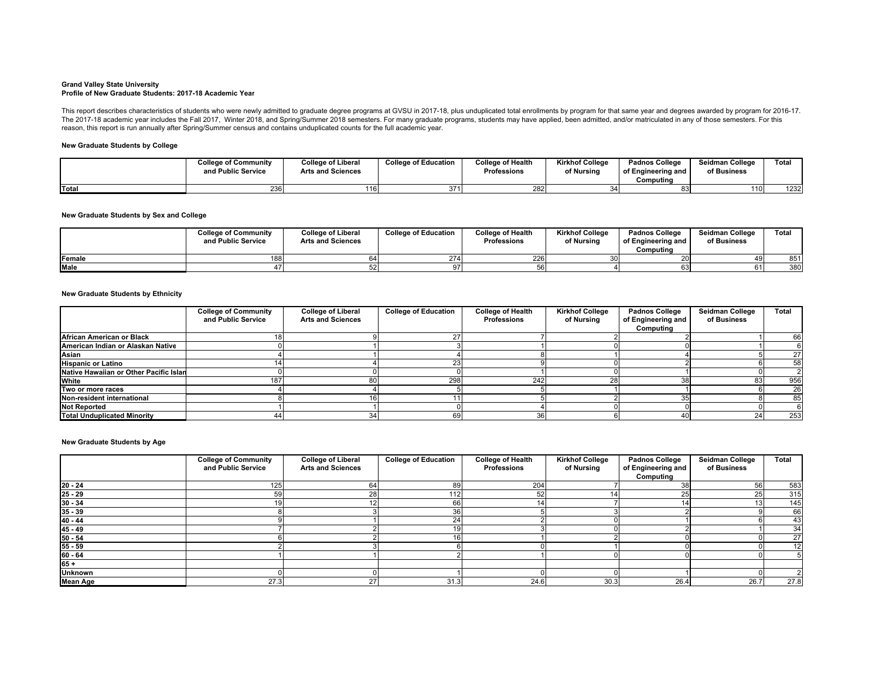## **Grand Valley State University Profile of New Graduate Students: 2017-18 Academic Year**

This report describes characteristics of students who were newly admitted to graduate degree programs at GVSU in 2017-18, plus unduplicated total enrollments by program for that same year and degrees awarded by program for The 2017-18 academic year includes the Fall 2017, Winter 2018, and Spring/Summer 2018 semesters. For many graduate programs, students may have applied, been admitted, and/or matriculated in any of those semesters. For this reason, this report is run annually after Spring/Summer census and contains unduplicated counts for the full academic year.

## **New Graduate Students by College**

|       | <b>College of Community</b><br>and Public Service | <b>College of Liberal</b><br><b>Arts and Sciences</b> | <b>College of Education</b> | <b>College of Health</b><br>Professions | Kirkhof College<br>of Nursing | Padnos College<br>of Engineering and<br>Computina | <b>Seidman College</b><br>of Business | <b>Total</b> |
|-------|---------------------------------------------------|-------------------------------------------------------|-----------------------------|-----------------------------------------|-------------------------------|---------------------------------------------------|---------------------------------------|--------------|
| Total | 236                                               | 16)                                                   | 371                         | 282                                     |                               |                                                   | 110                                   | 1232         |

## **New Graduate Students by Sex and College**

|                | <b>College of Community</b><br>and Public Service | <b>College of Liberal</b><br><b>Arts and Sciences</b> | <b>College of Education</b> | College of Health<br>Professions | Kirkhof College<br>of Nursing | <b>Padnos College</b><br>of Engineering and<br>Computina | Seidman College<br>of Business | Total |
|----------------|---------------------------------------------------|-------------------------------------------------------|-----------------------------|----------------------------------|-------------------------------|----------------------------------------------------------|--------------------------------|-------|
| <b>IFemale</b> |                                                   |                                                       |                             | 2261                             |                               |                                                          |                                | 851   |
| <b>Male</b>    |                                                   |                                                       |                             |                                  |                               |                                                          |                                | 380   |

## **New Graduate Students by Ethnicity**

|                                        | <b>College of Community</b><br>and Public Service | <b>College of Liberal</b><br><b>Arts and Sciences</b> | <b>College of Education</b> | <b>College of Health</b><br>Professions | <b>Kirkhof College</b><br>of Nursing | <b>Padnos College</b><br>of Engineering and | Seidman College<br>of Business | Total |
|----------------------------------------|---------------------------------------------------|-------------------------------------------------------|-----------------------------|-----------------------------------------|--------------------------------------|---------------------------------------------|--------------------------------|-------|
|                                        |                                                   |                                                       |                             |                                         |                                      | Computing                                   |                                |       |
| African American or Black              |                                                   |                                                       |                             |                                         |                                      |                                             |                                | 66    |
| American Indian or Alaskan Native      |                                                   |                                                       |                             |                                         |                                      |                                             |                                |       |
| Asian                                  |                                                   |                                                       |                             |                                         |                                      |                                             |                                | 27    |
| <b>Hispanic or Latino</b>              |                                                   |                                                       |                             |                                         |                                      |                                             |                                | 58    |
| Native Hawaiian or Other Pacific Islan |                                                   |                                                       |                             |                                         |                                      |                                             |                                |       |
| White                                  | 187                                               |                                                       | 298                         | 242                                     |                                      |                                             |                                | 956   |
| Two or more races                      |                                                   |                                                       |                             |                                         |                                      |                                             |                                | 26    |
| Non-resident international             |                                                   |                                                       |                             |                                         |                                      |                                             |                                | 85    |
| <b>Not Reported</b>                    |                                                   |                                                       |                             |                                         |                                      |                                             |                                |       |
| <b>Total Unduplicated Minority</b>     | 44.                                               |                                                       | 69                          | 36                                      |                                      | 40                                          | 24                             | 253   |

## **New Graduate Students by Age**

|                                                        | <b>College of Community</b><br><b>College of Liberal</b><br>and Public Service<br><b>Arts and Sciences</b> |    | <b>College of Education</b> | <b>College of Health</b><br>Professions | <b>Kirkhof College</b><br><b>Padnos College</b><br>of Engineering and<br>of Nursing |           | Seidman College<br>of Business | Total |
|--------------------------------------------------------|------------------------------------------------------------------------------------------------------------|----|-----------------------------|-----------------------------------------|-------------------------------------------------------------------------------------|-----------|--------------------------------|-------|
|                                                        |                                                                                                            |    |                             |                                         |                                                                                     | Computing |                                |       |
|                                                        | 125                                                                                                        | 64 |                             | 204                                     |                                                                                     |           | 56                             | 583   |
|                                                        |                                                                                                            |    |                             | 52                                      |                                                                                     |           | 25                             | 315   |
|                                                        |                                                                                                            |    |                             |                                         |                                                                                     |           | 13                             | 145   |
| $\frac{20 - 24}{25 - 29}$<br>$\frac{30 - 34}{35 - 39}$ |                                                                                                            |    |                             |                                         |                                                                                     |           |                                | 66    |
| $40 - 44$                                              |                                                                                                            |    | 24                          |                                         |                                                                                     |           |                                | 43    |
| $\frac{45 - 49}{50 - 54}$                              |                                                                                                            |    |                             |                                         |                                                                                     |           |                                | 34    |
|                                                        |                                                                                                            |    |                             |                                         |                                                                                     |           |                                | 27    |
| $55 - 59$                                              |                                                                                                            |    |                             |                                         |                                                                                     |           |                                | 12    |
| $60 - 64$                                              |                                                                                                            |    |                             |                                         |                                                                                     |           |                                |       |
| $65 +$                                                 |                                                                                                            |    |                             |                                         |                                                                                     |           |                                |       |
| <b>Unknown</b>                                         |                                                                                                            |    |                             |                                         |                                                                                     |           |                                |       |
| <b>Mean Age</b>                                        | 27.3                                                                                                       | 27 | 31.3                        | 24.6                                    | 30.3                                                                                | 26.4      | 26.7                           | 27.8  |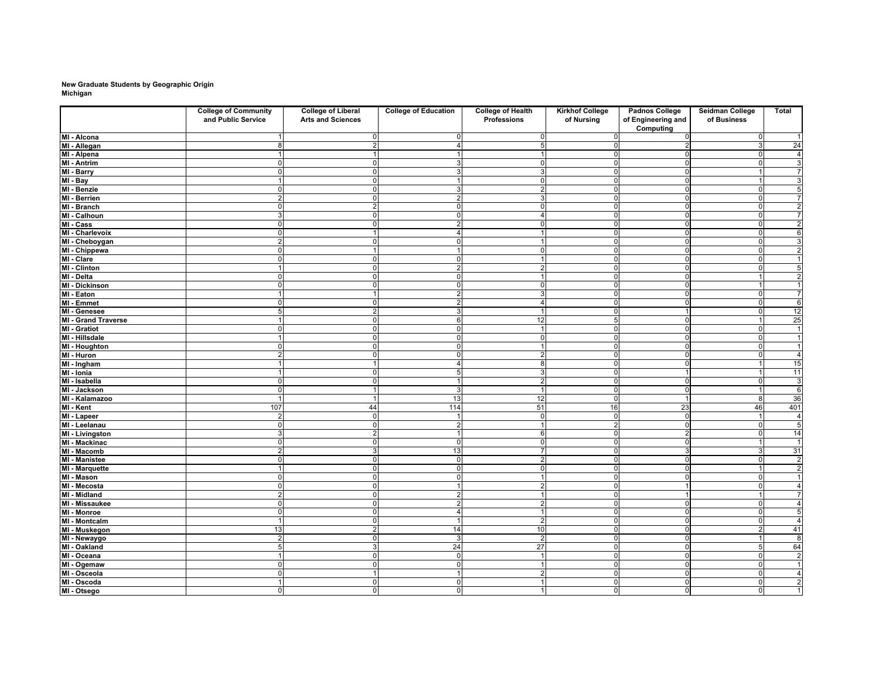## **New Graduate Students by Geographic Origin Michigan**

|                        | <b>College of Community</b><br>and Public Service | <b>College of Liberal</b><br><b>Arts and Sciences</b> | <b>College of Education</b> | <b>College of Health</b><br>Professions | <b>Kirkhof College</b><br>of Nursing | <b>Padnos College</b><br>of Engineering and<br>Computing | Seidman College<br>of Business | Total                   |
|------------------------|---------------------------------------------------|-------------------------------------------------------|-----------------------------|-----------------------------------------|--------------------------------------|----------------------------------------------------------|--------------------------------|-------------------------|
| MI - Alcona            |                                                   |                                                       | $\mathbf 0$                 | $\mathbf 0$                             | $\mathbf 0$                          | $\Omega$                                                 | $\mathbf 0$                    | $\overline{1}$          |
| MI - Allegan           | 8                                                 | $\mathcal{D}$                                         | $\overline{4}$              | 5                                       | $\overline{0}$                       | 2                                                        | 3                              | 24                      |
| MI - Alpena            |                                                   |                                                       |                             |                                         | $\mathbf{0}$                         | $\Omega$                                                 | $\mathbf 0$                    | $\overline{4}$          |
| MI - Antrim            | $\mathbf 0$                                       |                                                       | 3                           | $\Omega$                                | $\mathbf{0}$                         | $\Omega$                                                 | $\Omega$                       | 3                       |
| MI - Barry             | $\mathbf 0$                                       | $\Omega$                                              | 3                           | 3                                       | $\mathbf{0}$                         | $\Omega$                                                 | $\overline{1}$                 | $\overline{7}$          |
| MI - Bay               | $\mathbf{1}$                                      | $\Omega$                                              | 1                           | $\mathbf 0$                             | $\mathbf{0}$                         | $\Omega$                                                 | $\mathbf 1$                    | 3                       |
| MI - Benzie            | $\mathbf 0$                                       |                                                       | 3                           | $\mathcal{P}$                           | $\mathbf{0}$                         | $\Omega$                                                 | $\Omega$                       | $\overline{5}$          |
| <b>MI - Berrien</b>    | $\overline{2}$                                    | $\Omega$                                              | $\overline{2}$              | 3                                       | $\mathbf 0$                          | $\Omega$                                                 | $\mathbf 0$                    |                         |
| MI - Branch            | $\mathbf 0$                                       | 2                                                     | $\mathbf{0}$                | $\mathbf 0$                             | $\mathbf{0}$                         | $\Omega$                                                 | $\mathbf 0$                    | $\overline{\mathbf{c}}$ |
| MI - Calhoun           | 3                                                 |                                                       | $\Omega$                    | $\overline{4}$                          | $\mathbf{0}$                         |                                                          | $\Omega$                       | $\overline{7}$          |
| MI - Cass              | 0                                                 |                                                       | $\overline{2}$              | $\Omega$                                | $\mathbf 0$                          | n                                                        | $\Omega$                       | $\overline{\mathbf{c}}$ |
| MI - Charlevoix        | $\mathbf 0$                                       |                                                       | $\overline{4}$              |                                         | $\overline{0}$                       | $\Omega$                                                 | $\mathbf 0$                    | $6\overline{6}$         |
| MI - Cheboygan         | $\overline{2}$                                    |                                                       | $\overline{0}$              |                                         | $\mathbf 0$                          |                                                          | $\Omega$                       | 3                       |
| MI - Chippewa          | $\mathbf 0$                                       |                                                       |                             | $\Omega$                                | $\mathbf 0$                          | $\Omega$                                                 | $\mathbf 0$                    | $\overline{\mathbf{c}}$ |
| MI - Clare             | ō                                                 | $\Omega$                                              | $\overline{0}$              | $\overline{1}$                          | $\overline{0}$                       | $\mathbf 0$                                              | $\mathbf 0$                    | $\mathbf{1}$            |
| <b>MI - Clinton</b>    |                                                   |                                                       | $\overline{2}$              | $\overline{2}$                          | $\mathbf{0}$                         | $\Omega$                                                 | 0                              | 5                       |
| MI - Delta             | $\mathbf 0$                                       | n                                                     | $\overline{0}$              |                                         | $\overline{0}$                       | $\Omega$                                                 |                                | $\overline{\mathbf{c}}$ |
| <b>MI</b> - Dickinson  | $\mathbf 0$                                       | $\Omega$                                              | $\overline{0}$              | $\mathbf 0$                             | $\mathbf 0$                          | $\overline{0}$                                           | $\overline{1}$                 | $\mathbf{1}$            |
| MI - Eaton             |                                                   |                                                       | $\overline{2}$              | 3                                       | $\overline{0}$                       | $\Omega$                                                 | $\mathbf 0$                    | $\overline{7}$          |
| MI - Emmet             | $\Omega$                                          | ſ                                                     | $\overline{2}$              | $\overline{4}$                          | $\overline{0}$                       | $\Omega$                                                 | $\mathbf 0$                    | 6                       |
| MI - Genesee           | 5                                                 | $\mathfrak{p}$                                        | 3                           | $\overline{1}$                          | $\overline{0}$                       |                                                          | $\mathbf 0$                    | 12                      |
| MI - Grand Traverse    |                                                   | n                                                     | 6                           | 12                                      | 5                                    | $\Omega$                                                 | -1                             | 25                      |
| <b>MI - Gratiot</b>    | $\Omega$                                          |                                                       | $\overline{0}$              |                                         | $\mathbf 0$                          | $\Omega$                                                 | $\mathbf 0$                    | $\mathbf{1}$            |
| MI - Hillsdale         |                                                   |                                                       | $\mathbf 0$                 | $\Omega$                                | $\mathbf 0$                          | $\Omega$                                                 | $\Omega$                       | $\mathbf{1}$            |
| MI - Houghton          | $\mathbf 0$                                       | $\Omega$                                              | $\overline{0}$              | $\overline{1}$                          | $\overline{0}$                       | $\Omega$                                                 | $\mathbf 0$                    | $\overline{1}$          |
| MI - Huron             | $\overline{2}$                                    | n                                                     | $\overline{0}$              | $\overline{2}$                          | $\mathbf 0$                          | $\Omega$                                                 | $\mathbf 0$                    | $\overline{4}$          |
| MI - Ingham            |                                                   |                                                       | $\overline{4}$              | 8                                       | $\overline{0}$                       | $\Omega$                                                 |                                | 15                      |
| MI - Ionia             |                                                   | $\Omega$                                              | 5                           | 3                                       | $\overline{0}$                       |                                                          | $\overline{1}$                 | 11                      |
| MI - Isabella          | $\Omega$                                          |                                                       |                             | $\overline{2}$                          | $\mathbf 0$                          | ſ                                                        | $\mathbf 0$                    | 3                       |
| MI - Jackson           | $\Omega$                                          |                                                       | 3                           |                                         | $\mathbf{0}$                         |                                                          |                                | $\,6$                   |
| MI - Kalamazoo         |                                                   |                                                       | 13                          | 12                                      | $\Omega$                             |                                                          | 8                              | 36                      |
| MI - Kent              | 107                                               | 44                                                    | 114                         | 51                                      | 16                                   | 23                                                       | 46                             | 401                     |
| MI - Lapeer            | $\overline{2}$                                    | $\Omega$                                              |                             | $\Omega$                                | $\mathbf{0}$                         | $\Omega$                                                 |                                | 4                       |
| MI - Leelanau          | $\mathbf 0$                                       | $\Omega$                                              | $\overline{2}$              | $\overline{1}$                          | $\overline{2}$                       | $\Omega$                                                 | $\mathbf 0$                    | $\overline{5}$          |
| <b>MI</b> - Livingston | 3                                                 | 2                                                     |                             | 6                                       | $\mathbf{0}$                         | 2                                                        | $\mathbf 0$                    | 14                      |
| <b>MI - Mackinac</b>   | $\overline{0}$                                    | n                                                     | $\overline{0}$              | $\mathbf 0$                             | $\overline{0}$                       | $\Omega$                                                 |                                | $\overline{1}$          |
| MI - Macomb            | $\overline{2}$                                    | 3                                                     | 13                          | $\overline{7}$                          | $\mathbf 0$                          | 3                                                        | 3                              | 31                      |
| <b>MI - Manistee</b>   | 0                                                 | $\Omega$                                              | $\mathbf 0$                 | $\overline{2}$                          | $\mathbf 0$                          | n                                                        | $\mathbf 0$                    | $\overline{\mathbf{c}}$ |
| <b>MI - Marquette</b>  | 1                                                 |                                                       | $\overline{0}$              | $\Omega$                                | $\mathbf 0$                          |                                                          |                                | $\overline{\mathbf{c}}$ |
| MI - Mason             | $\mathbf 0$                                       | $\Omega$                                              | $\mathbf 0$                 | $\overline{1}$                          | $\overline{0}$                       |                                                          | $\mathbf 0$                    | $\mathbf{1}$            |
| MI - Mecosta           | $\Omega$                                          | n                                                     |                             | 2                                       | $\overline{0}$                       |                                                          | $\mathbf 0$                    | $\overline{4}$          |
| MI - Midland           | $\overline{2}$                                    |                                                       | $\overline{2}$              |                                         | $\mathbf 0$                          |                                                          |                                | 7                       |
| <b>MI - Missaukee</b>  | $\Omega$                                          |                                                       | $\overline{2}$              | $\mathcal{P}$                           | $\overline{0}$                       |                                                          | $\Omega$                       | 4                       |
| MI - Monroe            | $\mathbf 0$                                       | $\Omega$                                              | $\overline{4}$              | $\overline{1}$                          | $\mathbf{0}$                         | $\Omega$                                                 | $\mathbf 0$                    | 5                       |
| <b>MI - Montcalm</b>   |                                                   |                                                       |                             | $\overline{2}$                          | $\mathbf 0$                          | $\Omega$                                                 | $\mathbf 0$                    | $\overline{4}$          |
| MI - Muskegon          | 13                                                | 2                                                     | 14                          | 10                                      | $\mathbf 0$                          | $\Omega$                                                 | 2                              | 41                      |
| MI - Newaygo           | $\overline{2}$                                    | $\Omega$                                              | 3                           | $\overline{c}$                          | $\mathbf 0$                          | $\mathbf 0$                                              | $\blacktriangleleft$           | $\overline{8}$          |
| MI - Oakland           | 5                                                 | 3                                                     | 24                          | 27                                      | $\mathbf 0$                          | $\Omega$                                                 | 5                              | 64                      |
| MI - Oceana            | 1                                                 | n                                                     | $\overline{0}$              | $\overline{1}$                          | $\overline{0}$                       | $\Omega$                                                 | $\mathbf 0$                    | $\overline{2}$          |
| MI - Ogemaw            | $\Omega$                                          | n                                                     | $\overline{0}$              | $\overline{1}$                          | $\mathbf{0}$                         | $\Omega$                                                 | $\mathbf 0$                    | $\overline{1}$          |
| MI - Osceola           | $\mathbf 0$                                       |                                                       | 1                           | $\overline{2}$                          | $\overline{0}$                       | $\mathbf 0$                                              | $\mathbf 0$                    | $\overline{4}$          |
| MI - Oscoda            |                                                   |                                                       | $\Omega$                    |                                         | $\overline{0}$                       | $\Omega$                                                 | $\mathbf 0$                    | $\overline{2}$          |
| MI - Otsego            | $\Omega$                                          | $\Omega$                                              | $\overline{0}$              |                                         | $\mathbf{0}$                         | $\Omega$                                                 | $\overline{0}$                 | $\overline{1}$          |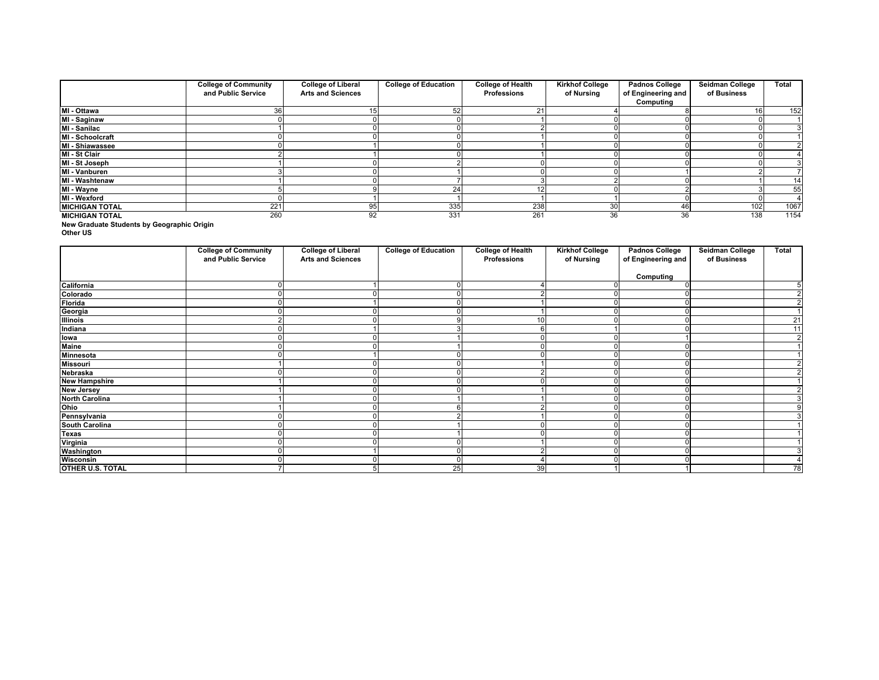|                       | <b>College of Community</b> | <b>College of Liberal</b> | <b>College of Education</b> | <b>College of Health</b> | <b>Kirkhof College</b> | <b>Padnos College</b> | Seidman College | Total |
|-----------------------|-----------------------------|---------------------------|-----------------------------|--------------------------|------------------------|-----------------------|-----------------|-------|
|                       | and Public Service          | <b>Arts and Sciences</b>  |                             | Professions              | of Nursing             | of Engineering and    | of Business     |       |
|                       |                             |                           |                             |                          |                        | Computing             |                 |       |
| MI - Ottawa           | 36                          | 15                        | 52                          | 21                       |                        |                       | 16 <sub>l</sub> | 152   |
| MI - Saginaw          |                             |                           |                             |                          |                        |                       |                 |       |
| MI - Sanilac          |                             |                           |                             |                          |                        |                       |                 |       |
| MI - Schoolcraft      |                             |                           |                             |                          |                        |                       |                 |       |
| MI - Shiawassee       |                             |                           |                             |                          |                        |                       |                 |       |
| MI - St Clair         |                             |                           |                             |                          |                        |                       |                 |       |
| MI - St Joseph        |                             |                           |                             |                          |                        |                       |                 |       |
| MI - Vanburen         |                             |                           |                             |                          |                        |                       |                 |       |
| MI - Washtenaw        |                             |                           |                             |                          |                        |                       |                 | 14    |
| MI - Wayne            |                             |                           |                             |                          |                        |                       |                 | 55    |
| MI - Wexford          |                             |                           |                             |                          |                        |                       |                 |       |
| <b>MICHIGAN TOTAL</b> | 221                         | 95                        | 335                         | 238                      | 30 <sup>l</sup>        |                       | 102             | 1067  |
| <b>MICHIGAN TOTAL</b> | 260                         | 92                        | 331                         | 261                      | 36                     | 36                    | 138             | 1154  |

**New Graduate Students by Geographic Origin**

**Other US**

|                       | <b>College of Community</b><br>and Public Service | <b>College of Liberal</b><br><b>Arts and Sciences</b> | <b>College of Education</b> | <b>College of Health</b><br>Professions | <b>Kirkhof College</b><br>of Nursing | <b>Padnos College</b><br>of Engineering and | Seidman College<br>of Business | Total          |
|-----------------------|---------------------------------------------------|-------------------------------------------------------|-----------------------------|-----------------------------------------|--------------------------------------|---------------------------------------------|--------------------------------|----------------|
|                       |                                                   |                                                       |                             |                                         |                                      | Computing                                   |                                |                |
| California            |                                                   |                                                       |                             |                                         |                                      |                                             |                                |                |
| Colorado              |                                                   |                                                       |                             |                                         |                                      |                                             |                                | 2              |
| Florida               |                                                   |                                                       |                             |                                         |                                      |                                             |                                | $\overline{2}$ |
| Georgia               |                                                   |                                                       |                             |                                         | $\Omega$                             |                                             |                                | $\mathbf{1}$   |
| <b>Illinois</b>       |                                                   |                                                       |                             | 10                                      |                                      |                                             |                                | 21             |
| Indiana               |                                                   |                                                       |                             |                                         |                                      |                                             |                                | 11             |
| lowa                  |                                                   |                                                       |                             |                                         |                                      |                                             |                                | $\overline{2}$ |
| <b>Maine</b>          |                                                   |                                                       |                             |                                         |                                      |                                             |                                |                |
| <b>Minnesota</b>      |                                                   |                                                       |                             |                                         | $\Omega$                             |                                             |                                |                |
| <b>Missouri</b>       |                                                   |                                                       |                             |                                         | $\Omega$                             |                                             |                                | 2              |
| Nebraska              |                                                   |                                                       |                             |                                         | $\Omega$                             |                                             |                                | 2              |
| <b>New Hampshire</b>  |                                                   |                                                       |                             |                                         | $\Omega$                             |                                             |                                |                |
| <b>New Jersey</b>     |                                                   |                                                       |                             |                                         | $\Omega$                             |                                             |                                |                |
| <b>North Carolina</b> |                                                   |                                                       |                             |                                         | $\Omega$                             |                                             |                                |                |
| Ohio                  |                                                   |                                                       |                             |                                         |                                      |                                             |                                |                |
| Pennsylvania          |                                                   |                                                       |                             |                                         | $\Omega$                             |                                             |                                |                |
| <b>South Carolina</b> |                                                   |                                                       |                             |                                         | $\Omega$                             |                                             |                                |                |
| <b>Texas</b>          |                                                   |                                                       |                             |                                         |                                      |                                             |                                |                |
| Virginia              |                                                   |                                                       |                             |                                         | $\Omega$                             |                                             |                                |                |
| Washington            |                                                   |                                                       |                             |                                         | $\sqrt{2}$                           |                                             |                                | 3              |
| Wisconsin             |                                                   |                                                       | $\Omega$                    |                                         | $\Omega$                             |                                             |                                | 4              |
| OTHER U.S. TOTAL      |                                                   |                                                       | $2\overline{5}$             | 39                                      |                                      |                                             |                                | 78             |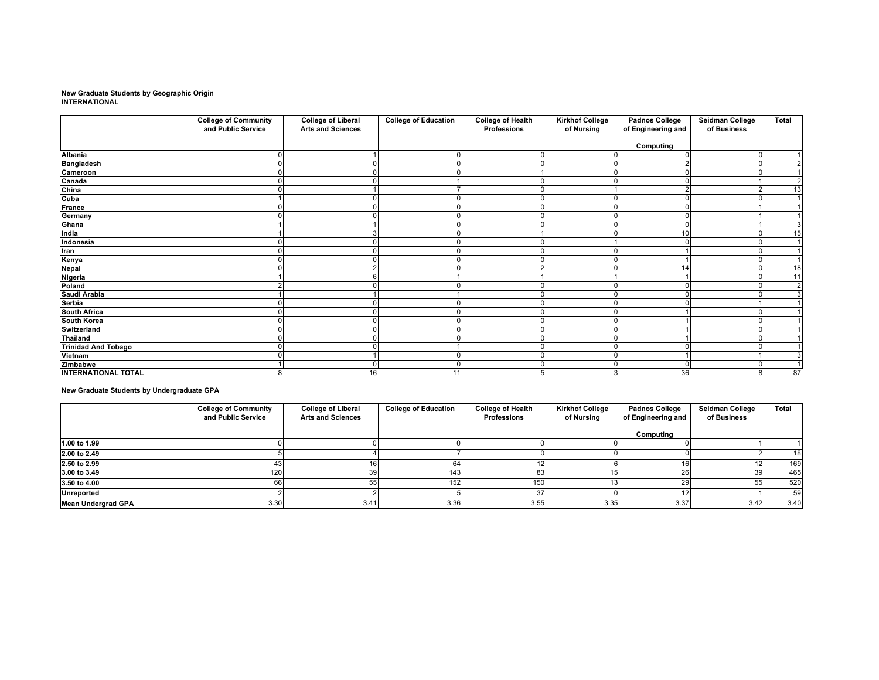# **New Graduate Students by Geographic Origin INTERNATIONAL**

|                            | <b>College of Community</b><br>and Public Service | <b>College of Liberal</b><br><b>Arts and Sciences</b> | <b>College of Education</b> | <b>College of Health</b><br>Professions | <b>Kirkhof College</b><br>of Nursing | <b>Padnos College</b><br>of Engineering and | Seidman College<br>of Business | Total                |
|----------------------------|---------------------------------------------------|-------------------------------------------------------|-----------------------------|-----------------------------------------|--------------------------------------|---------------------------------------------|--------------------------------|----------------------|
|                            |                                                   |                                                       |                             |                                         |                                      | Computing                                   |                                |                      |
| <b>Albania</b>             |                                                   |                                                       |                             |                                         |                                      |                                             |                                |                      |
| <b>Bangladesh</b>          |                                                   |                                                       |                             |                                         |                                      |                                             |                                | 2                    |
| Cameroon                   |                                                   |                                                       |                             |                                         |                                      |                                             |                                |                      |
| Canada                     |                                                   |                                                       |                             |                                         |                                      |                                             |                                | 2                    |
| China                      |                                                   |                                                       |                             |                                         |                                      |                                             |                                | 13                   |
| Cuba                       |                                                   |                                                       |                             |                                         |                                      |                                             |                                |                      |
| France                     |                                                   |                                                       |                             |                                         |                                      |                                             |                                |                      |
| Germany                    |                                                   |                                                       | n                           |                                         |                                      |                                             |                                |                      |
| Ghana                      |                                                   |                                                       |                             |                                         |                                      |                                             |                                | 3                    |
| India                      |                                                   |                                                       |                             |                                         |                                      | 10                                          |                                | 15                   |
| Indonesia                  |                                                   |                                                       |                             |                                         |                                      |                                             |                                | $\overline{4}$       |
| Iran                       |                                                   |                                                       |                             |                                         |                                      |                                             |                                |                      |
| Kenya                      |                                                   |                                                       |                             |                                         |                                      |                                             |                                | $\overline{1}$       |
| <b>Nepal</b>               |                                                   |                                                       |                             |                                         |                                      | 14                                          |                                | 18                   |
| Nigeria                    |                                                   |                                                       |                             |                                         |                                      |                                             |                                | 11                   |
| Poland                     |                                                   |                                                       |                             |                                         |                                      |                                             |                                | $\overline{2}$       |
| Saudi Arabia               |                                                   |                                                       |                             |                                         |                                      |                                             |                                | 3                    |
| Serbia                     |                                                   |                                                       |                             |                                         |                                      |                                             |                                |                      |
| <b>South Africa</b>        |                                                   |                                                       |                             |                                         |                                      |                                             |                                |                      |
| South Korea                |                                                   |                                                       |                             |                                         |                                      |                                             |                                |                      |
| Switzerland                |                                                   |                                                       |                             |                                         |                                      |                                             |                                |                      |
| <b>Thailand</b>            |                                                   |                                                       |                             |                                         |                                      |                                             |                                |                      |
| <b>Trinidad And Tobago</b> |                                                   |                                                       |                             |                                         |                                      |                                             |                                |                      |
| Vietnam                    |                                                   |                                                       | O                           |                                         |                                      |                                             |                                | 3                    |
| Zimbabwe                   |                                                   |                                                       | $\Omega$                    |                                         |                                      |                                             |                                | $\blacktriangleleft$ |
| <b>INTERNATIONAL TOTAL</b> | 8                                                 | 16                                                    | 11                          |                                         | 3                                    | 36                                          | 8                              | 87                   |

**New Graduate Students by Undergraduate GPA**

|                           | <b>College of Community</b><br>and Public Service | <b>College of Liberal</b><br><b>Arts and Sciences</b> | <b>College of Education</b> | <b>College of Health</b><br>Professions | <b>Kirkhof College</b><br>of Nursing | <b>Padnos College</b><br>of Engineering and | <b>Seidman College</b><br>of Business | Total |
|---------------------------|---------------------------------------------------|-------------------------------------------------------|-----------------------------|-----------------------------------------|--------------------------------------|---------------------------------------------|---------------------------------------|-------|
|                           |                                                   |                                                       |                             |                                         |                                      |                                             |                                       |       |
|                           |                                                   |                                                       |                             |                                         |                                      | Computing                                   |                                       |       |
| 1.00 to 1.99              |                                                   |                                                       |                             |                                         |                                      |                                             |                                       |       |
| 2.00 to 2.49              |                                                   |                                                       |                             |                                         |                                      |                                             |                                       | 18    |
| 2.50 to 2.99              |                                                   |                                                       | 64                          |                                         |                                      |                                             |                                       | 169   |
| 3.00 to 3.49              | 120                                               | 30                                                    | 143                         |                                         |                                      |                                             | 39                                    | 465   |
| 3.50 to 4.00              |                                                   |                                                       | 152                         | 150                                     |                                      |                                             | ວວ                                    | 520   |
| <b>Unreported</b>         |                                                   |                                                       |                             |                                         |                                      |                                             |                                       | 59    |
| <b>Mean Undergrad GPA</b> | 3.30                                              | 3.41                                                  | 3.36                        | 3.55                                    | 3.35                                 | 3.37                                        | 3.42                                  | 3.40  |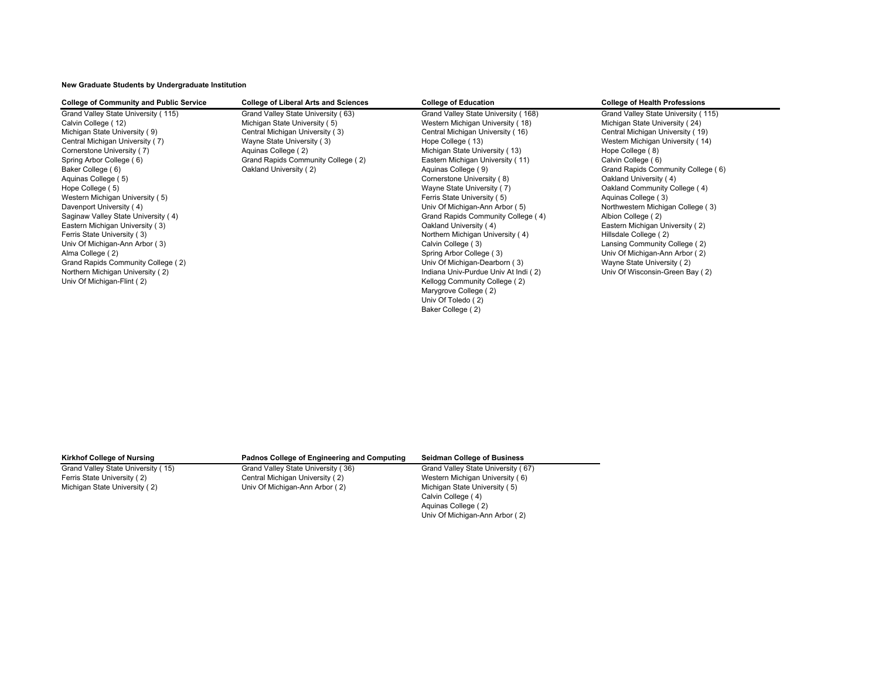## **New Graduate Students by Undergraduate Institution**

## **College of Community and Public Service College of Liberal Arts and Sciences College of Education College of Health Professions**

Grand Valley State University ( 115) Grand Valley State University ( 63) Grand Valley State University ( 168) Grand Valley State University ( 115)<br>Calvin College ( 12) Grand Valley State University ( 5) Western Michigan Un Calvin College ( 12) Calvin College ( 12) Calvin College ( 16) Michigan State University ( 5) Western Michigan University ( 18) Michigan University ( 18) Central Michigan University ( 16) Central Michigan University ( 16) Central Michigan University ( 7) Wayne State University ( 3) Hope College ( 13) Western Michigan University ( 14) Cornerstone University ( 7) (8) Aquinas College ( 2) (8) Michigan State University ( 13) (8) Hope College ( 8) Spring Arbor College ( 6) Grand Rapids Community College ( 2) Eastern Michigan University ( 11) Calvin College ( 6) Baker College ( 6) **Saker College ( 6)** Oakland University ( 2) **College ( 9)** Aquinas College ( 9) Grand Rapids Community College ( 6)

Central Michigan University ( 3) Central Michigan University ( 16) Central Michigan University ( 19) Aquinas College (5) Cornerstone University (8) Cornerstone University (8) Cornerstone University (8) Cornerstone University (4) Cornerstone University (8) Cornerstone University (4) Cornerstone University (8) Cornerstone U Hope College (5) The College (5) College (4) Nayne State University (7) College (5) Oakland Community College (4) Western Michigan University (5) The State University (5) The State University (5) Aquinas College (3) Davenport University ( 4) **Davenport University ( 4)** University ( 4) The University of Michigan-Ann Arbor ( 5) Northwestern Michigan College ( 3) Northwestern Michigan College ( 3) Saginaw Valley State University ( 4) Alb Saginaw Valley State University ( 4) Grand Rapids Community College ( 4) Albion College ( 2)<br>Castern Michigan University ( 3) Oakland University ( 4) Eastern Michigan University ( 3) **Eastern Michigan University ( 4)** Eastern Michigan University ( 4) Eastern Michigan University ( 4) Eastern Michigan University ( 3) Eastern Michigan University ( 4) Eastern Michigan Unive Northern Michigan University ( 4) Univ Of Michigan-Ann Arbor ( 3) Calvin College ( 3) Calvin College ( 3) Calvin College ( 3) Lansing Community College ( 2) Calvin College ( 3) Calvin College ( 3) Calvin College ( 3) Calvin College ( 3) Calvin College ( 3) Alma College ( 2) College ( 2) College ( 3) College ( 3) College ( 3) College ( 3) Univ Of Michigan-Ann Arbor ( 2) College ( 3) College ( 3) College ( 3) College ( 2) College ( 2) College ( 2) College ( 2) College ( 2) Col Grand Rapids Community College (2) Community College (2) Community College (2) Community College (2) Community College (2) Community College (2) Community College (2) Community College (2) Community College (2) Community C Northern Michigan University ( 2) The Contract of Contract Contract Contract Contract Contract Contract Contract Contract Contract Contract Contract Contract Contract Contract Contract Contract Contract Contract Contract C Univ Of Michigan-Flint ( 2) The College ( 2) Community College ( 2) Community College ( 2) Marygrove College ( 2) Univ Of Toledo ( 2) Baker College ( 2)

Michigan State University ( 2) University Univ Of Michigan-Ann Arbor ( 2)

Ferris State University ( 2) Central Michigan University ( 2) Western Michigan University ( 6)<br>This Of Michigan Channel Chiversity ( 5) Wichigan University ( 5) Wichigan State University ( 5)

## **Kirkhof College of Nursing Padnos College of Engineering and Computing Seidman College of Business**

Grand Valley State University ( 15) Grand Valley State University ( 67) Grand Valley State University ( 67) Calvin College ( 4) Aquinas College ( 2) Univ Of Michigan-Ann Arbor ( 2)